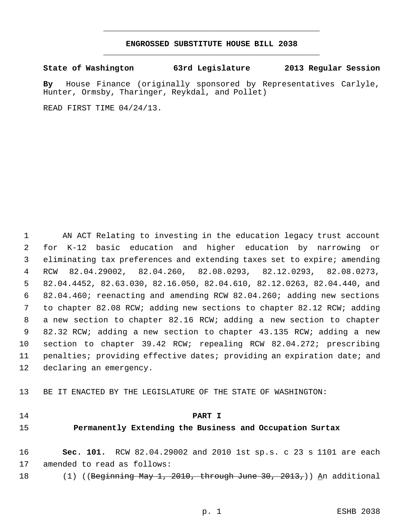# **ENGROSSED SUBSTITUTE HOUSE BILL 2038** \_\_\_\_\_\_\_\_\_\_\_\_\_\_\_\_\_\_\_\_\_\_\_\_\_\_\_\_\_\_\_\_\_\_\_\_\_\_\_\_\_\_\_\_\_

\_\_\_\_\_\_\_\_\_\_\_\_\_\_\_\_\_\_\_\_\_\_\_\_\_\_\_\_\_\_\_\_\_\_\_\_\_\_\_\_\_\_\_\_\_

**State of Washington 63rd Legislature 2013 Regular Session**

**By** House Finance (originally sponsored by Representatives Carlyle, Hunter, Ormsby, Tharinger, Reykdal, and Pollet)

READ FIRST TIME 04/24/13.

 AN ACT Relating to investing in the education legacy trust account 2 for K-12 basic education and higher education by narrowing eliminating tax preferences and extending taxes set to expire; amending RCW 82.04.29002, 82.04.260, 82.08.0293, 82.12.0293, 82.08.0273, 82.04.4452, 82.63.030, 82.16.050, 82.04.610, 82.12.0263, 82.04.440, and 82.04.460; reenacting and amending RCW 82.04.260; adding new sections to chapter 82.08 RCW; adding new sections to chapter 82.12 RCW; adding a new section to chapter 82.16 RCW; adding a new section to chapter 82.32 RCW; adding a new section to chapter 43.135 RCW; adding a new section to chapter 39.42 RCW; repealing RCW 82.04.272; prescribing penalties; providing effective dates; providing an expiration date; and declaring an emergency.

BE IT ENACTED BY THE LEGISLATURE OF THE STATE OF WASHINGTON:

#### **PART I**

## **Permanently Extending the Business and Occupation Surtax**

 **Sec. 101.** RCW 82.04.29002 and 2010 1st sp.s. c 23 s 1101 are each amended to read as follows:

18 (1) ((<del>Beginning May 1, 2010, through June 30, 2013,</del>)) <u>A</u>n additional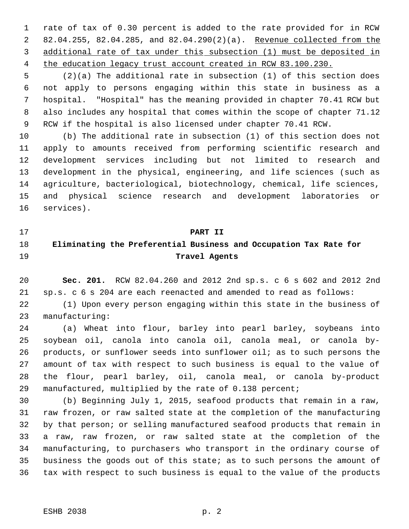rate of tax of 0.30 percent is added to the rate provided for in RCW 82.04.255, 82.04.285, and 82.04.290(2)(a). Revenue collected from the additional rate of tax under this subsection (1) must be deposited in the education legacy trust account created in RCW 83.100.230.

 (2)(a) The additional rate in subsection (1) of this section does not apply to persons engaging within this state in business as a hospital. "Hospital" has the meaning provided in chapter 70.41 RCW but also includes any hospital that comes within the scope of chapter 71.12 RCW if the hospital is also licensed under chapter 70.41 RCW.

 (b) The additional rate in subsection (1) of this section does not apply to amounts received from performing scientific research and development services including but not limited to research and development in the physical, engineering, and life sciences (such as agriculture, bacteriological, biotechnology, chemical, life sciences, and physical science research and development laboratories or services).

**PART II**

# **Eliminating the Preferential Business and Occupation Tax Rate for Travel Agents**

 **Sec. 201.** RCW 82.04.260 and 2012 2nd sp.s. c 6 s 602 and 2012 2nd sp.s. c 6 s 204 are each reenacted and amended to read as follows:

 (1) Upon every person engaging within this state in the business of manufacturing:

 (a) Wheat into flour, barley into pearl barley, soybeans into soybean oil, canola into canola oil, canola meal, or canola by- products, or sunflower seeds into sunflower oil; as to such persons the amount of tax with respect to such business is equal to the value of the flour, pearl barley, oil, canola meal, or canola by-product manufactured, multiplied by the rate of 0.138 percent;

 (b) Beginning July 1, 2015, seafood products that remain in a raw, raw frozen, or raw salted state at the completion of the manufacturing by that person; or selling manufactured seafood products that remain in a raw, raw frozen, or raw salted state at the completion of the manufacturing, to purchasers who transport in the ordinary course of business the goods out of this state; as to such persons the amount of tax with respect to such business is equal to the value of the products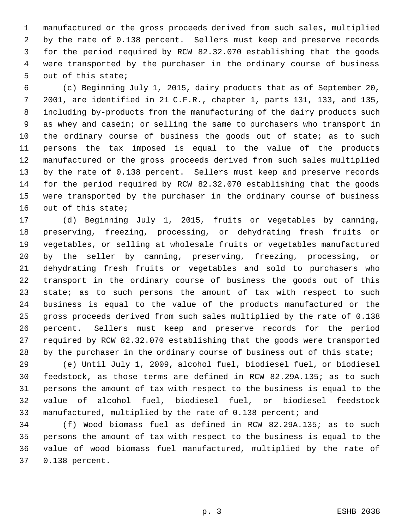manufactured or the gross proceeds derived from such sales, multiplied by the rate of 0.138 percent. Sellers must keep and preserve records for the period required by RCW 82.32.070 establishing that the goods were transported by the purchaser in the ordinary course of business out of this state;

 (c) Beginning July 1, 2015, dairy products that as of September 20, 2001, are identified in 21 C.F.R., chapter 1, parts 131, 133, and 135, including by-products from the manufacturing of the dairy products such as whey and casein; or selling the same to purchasers who transport in 10 the ordinary course of business the goods out of state; as to such persons the tax imposed is equal to the value of the products manufactured or the gross proceeds derived from such sales multiplied by the rate of 0.138 percent. Sellers must keep and preserve records for the period required by RCW 82.32.070 establishing that the goods were transported by the purchaser in the ordinary course of business out of this state;

 (d) Beginning July 1, 2015, fruits or vegetables by canning, preserving, freezing, processing, or dehydrating fresh fruits or vegetables, or selling at wholesale fruits or vegetables manufactured by the seller by canning, preserving, freezing, processing, or dehydrating fresh fruits or vegetables and sold to purchasers who transport in the ordinary course of business the goods out of this 23 state; as to such persons the amount of tax with respect to such business is equal to the value of the products manufactured or the gross proceeds derived from such sales multiplied by the rate of 0.138 percent. Sellers must keep and preserve records for the period required by RCW 82.32.070 establishing that the goods were transported 28 by the purchaser in the ordinary course of business out of this state;

 (e) Until July 1, 2009, alcohol fuel, biodiesel fuel, or biodiesel feedstock, as those terms are defined in RCW 82.29A.135; as to such persons the amount of tax with respect to the business is equal to the value of alcohol fuel, biodiesel fuel, or biodiesel feedstock manufactured, multiplied by the rate of 0.138 percent; and

 (f) Wood biomass fuel as defined in RCW 82.29A.135; as to such persons the amount of tax with respect to the business is equal to the value of wood biomass fuel manufactured, multiplied by the rate of 0.138 percent.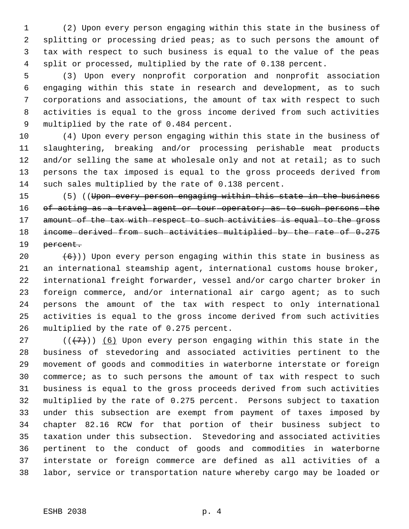(2) Upon every person engaging within this state in the business of splitting or processing dried peas; as to such persons the amount of tax with respect to such business is equal to the value of the peas split or processed, multiplied by the rate of 0.138 percent.

 (3) Upon every nonprofit corporation and nonprofit association engaging within this state in research and development, as to such corporations and associations, the amount of tax with respect to such activities is equal to the gross income derived from such activities multiplied by the rate of 0.484 percent.

 (4) Upon every person engaging within this state in the business of slaughtering, breaking and/or processing perishable meat products 12 and/or selling the same at wholesale only and not at retail; as to such persons the tax imposed is equal to the gross proceeds derived from such sales multiplied by the rate of 0.138 percent.

15 (5) ((Upon every person engaging within this state in the business 16 of acting as a travel agent or tour operator; as to such persons the 17 amount of the tax with respect to such activities is equal to the gross 18 income derived from such activities multiplied by the rate of 0.275 19 <del>percent.</del>

 $(6)$ )) Upon every person engaging within this state in business as an international steamship agent, international customs house broker, international freight forwarder, vessel and/or cargo charter broker in foreign commerce, and/or international air cargo agent; as to such persons the amount of the tax with respect to only international activities is equal to the gross income derived from such activities multiplied by the rate of 0.275 percent.

27 ( $(\langle 7 \rangle)$ ) (6) Upon every person engaging within this state in the business of stevedoring and associated activities pertinent to the movement of goods and commodities in waterborne interstate or foreign commerce; as to such persons the amount of tax with respect to such business is equal to the gross proceeds derived from such activities multiplied by the rate of 0.275 percent. Persons subject to taxation under this subsection are exempt from payment of taxes imposed by chapter 82.16 RCW for that portion of their business subject to taxation under this subsection. Stevedoring and associated activities pertinent to the conduct of goods and commodities in waterborne interstate or foreign commerce are defined as all activities of a labor, service or transportation nature whereby cargo may be loaded or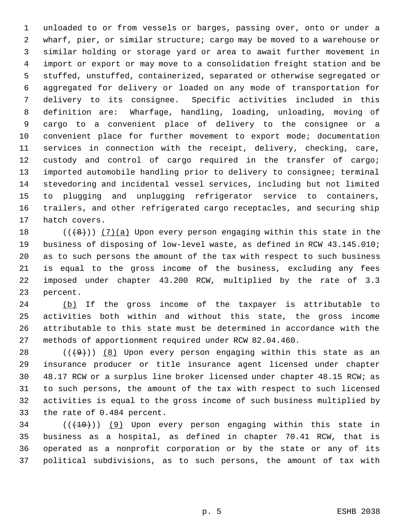unloaded to or from vessels or barges, passing over, onto or under a wharf, pier, or similar structure; cargo may be moved to a warehouse or similar holding or storage yard or area to await further movement in import or export or may move to a consolidation freight station and be stuffed, unstuffed, containerized, separated or otherwise segregated or aggregated for delivery or loaded on any mode of transportation for delivery to its consignee. Specific activities included in this definition are: Wharfage, handling, loading, unloading, moving of cargo to a convenient place of delivery to the consignee or a convenient place for further movement to export mode; documentation services in connection with the receipt, delivery, checking, care, custody and control of cargo required in the transfer of cargo; imported automobile handling prior to delivery to consignee; terminal stevedoring and incidental vessel services, including but not limited to plugging and unplugging refrigerator service to containers, trailers, and other refrigerated cargo receptacles, and securing ship hatch covers.

18 ( $(\{8\})$ ) (7)(a) Upon every person engaging within this state in the business of disposing of low-level waste, as defined in RCW 43.145.010; as to such persons the amount of the tax with respect to such business is equal to the gross income of the business, excluding any fees imposed under chapter 43.200 RCW, multiplied by the rate of 3.3 percent.

24 (b) If the gross income of the taxpayer is attributable to activities both within and without this state, the gross income attributable to this state must be determined in accordance with the methods of apportionment required under RCW 82.04.460.

 $((+9))$   $(8)$  Upon every person engaging within this state as an insurance producer or title insurance agent licensed under chapter 48.17 RCW or a surplus line broker licensed under chapter 48.15 RCW; as to such persons, the amount of the tax with respect to such licensed activities is equal to the gross income of such business multiplied by the rate of 0.484 percent.

 $((+10))$  (9) Upon every person engaging within this state in business as a hospital, as defined in chapter 70.41 RCW, that is operated as a nonprofit corporation or by the state or any of its political subdivisions, as to such persons, the amount of tax with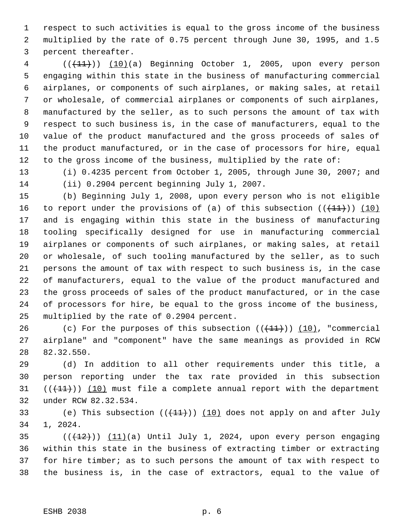respect to such activities is equal to the gross income of the business multiplied by the rate of 0.75 percent through June 30, 1995, and 1.5 percent thereafter.

4 (( $(11)$ )) (10)(a) Beginning October 1, 2005, upon every person engaging within this state in the business of manufacturing commercial airplanes, or components of such airplanes, or making sales, at retail or wholesale, of commercial airplanes or components of such airplanes, manufactured by the seller, as to such persons the amount of tax with respect to such business is, in the case of manufacturers, equal to the value of the product manufactured and the gross proceeds of sales of the product manufactured, or in the case of processors for hire, equal to the gross income of the business, multiplied by the rate of:

 (i) 0.4235 percent from October 1, 2005, through June 30, 2007; and (ii) 0.2904 percent beginning July 1, 2007.

 (b) Beginning July 1, 2008, upon every person who is not eligible 16 to report under the provisions of (a) of this subsection  $((+11))$   $(10)$  and is engaging within this state in the business of manufacturing tooling specifically designed for use in manufacturing commercial airplanes or components of such airplanes, or making sales, at retail or wholesale, of such tooling manufactured by the seller, as to such persons the amount of tax with respect to such business is, in the case of manufacturers, equal to the value of the product manufactured and the gross proceeds of sales of the product manufactured, or in the case of processors for hire, be equal to the gross income of the business, multiplied by the rate of 0.2904 percent.

26 (c) For the purposes of this subsection  $((+11))$   $(10)$ , "commercial airplane" and "component" have the same meanings as provided in RCW 82.32.550.

 (d) In addition to all other requirements under this title, a person reporting under the tax rate provided in this subsection  $((+11))$   $(10)$  must file a complete annual report with the department under RCW 82.32.534.

33 (e) This subsection  $((+11))$   $(10)$  does not apply on and after July 1, 2024.

 $((+12))$   $(11)(a)$  Until July 1, 2024, upon every person engaging within this state in the business of extracting timber or extracting for hire timber; as to such persons the amount of tax with respect to the business is, in the case of extractors, equal to the value of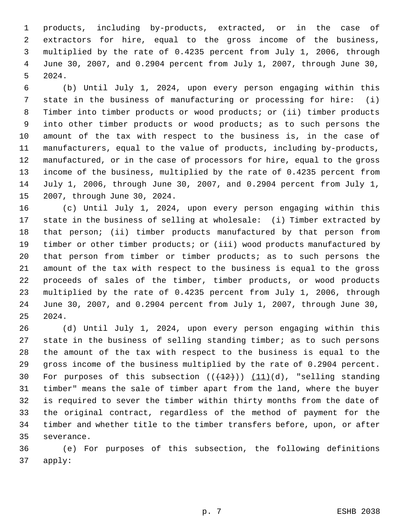products, including by-products, extracted, or in the case of extractors for hire, equal to the gross income of the business, multiplied by the rate of 0.4235 percent from July 1, 2006, through June 30, 2007, and 0.2904 percent from July 1, 2007, through June 30, 2024.

 (b) Until July 1, 2024, upon every person engaging within this state in the business of manufacturing or processing for hire: (i) Timber into timber products or wood products; or (ii) timber products into other timber products or wood products; as to such persons the amount of the tax with respect to the business is, in the case of manufacturers, equal to the value of products, including by-products, manufactured, or in the case of processors for hire, equal to the gross income of the business, multiplied by the rate of 0.4235 percent from July 1, 2006, through June 30, 2007, and 0.2904 percent from July 1, 2007, through June 30, 2024.

 (c) Until July 1, 2024, upon every person engaging within this state in the business of selling at wholesale: (i) Timber extracted by that person; (ii) timber products manufactured by that person from timber or other timber products; or (iii) wood products manufactured by that person from timber or timber products; as to such persons the amount of the tax with respect to the business is equal to the gross proceeds of sales of the timber, timber products, or wood products multiplied by the rate of 0.4235 percent from July 1, 2006, through June 30, 2007, and 0.2904 percent from July 1, 2007, through June 30, 2024.

 (d) Until July 1, 2024, upon every person engaging within this state in the business of selling standing timber; as to such persons the amount of the tax with respect to the business is equal to the gross income of the business multiplied by the rate of 0.2904 percent. 30 For purposes of this subsection  $((+12))$   $(11)(d)$ , "selling standing timber" means the sale of timber apart from the land, where the buyer is required to sever the timber within thirty months from the date of the original contract, regardless of the method of payment for the timber and whether title to the timber transfers before, upon, or after severance.

 (e) For purposes of this subsection, the following definitions apply: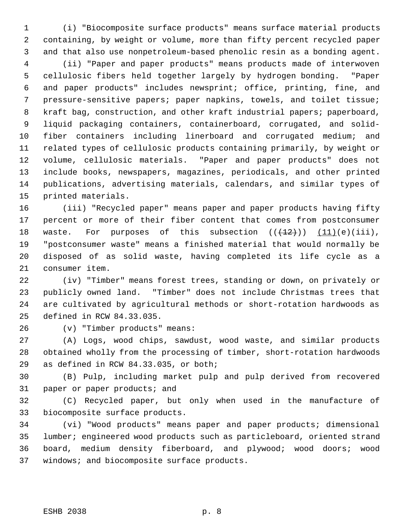(i) "Biocomposite surface products" means surface material products containing, by weight or volume, more than fifty percent recycled paper and that also use nonpetroleum-based phenolic resin as a bonding agent.

 (ii) "Paper and paper products" means products made of interwoven cellulosic fibers held together largely by hydrogen bonding. "Paper and paper products" includes newsprint; office, printing, fine, and pressure-sensitive papers; paper napkins, towels, and toilet tissue; kraft bag, construction, and other kraft industrial papers; paperboard, liquid packaging containers, containerboard, corrugated, and solid- fiber containers including linerboard and corrugated medium; and related types of cellulosic products containing primarily, by weight or volume, cellulosic materials. "Paper and paper products" does not include books, newspapers, magazines, periodicals, and other printed publications, advertising materials, calendars, and similar types of printed materials.

 (iii) "Recycled paper" means paper and paper products having fifty percent or more of their fiber content that comes from postconsumer 18 waste. For purposes of this subsection  $((+2)^2)$   $(11)(e)(iii)$ , "postconsumer waste" means a finished material that would normally be disposed of as solid waste, having completed its life cycle as a consumer item.

 (iv) "Timber" means forest trees, standing or down, on privately or publicly owned land. "Timber" does not include Christmas trees that are cultivated by agricultural methods or short-rotation hardwoods as defined in RCW 84.33.035.

(v) "Timber products" means:

 (A) Logs, wood chips, sawdust, wood waste, and similar products obtained wholly from the processing of timber, short-rotation hardwoods as defined in RCW 84.33.035, or both;

 (B) Pulp, including market pulp and pulp derived from recovered paper or paper products; and

 (C) Recycled paper, but only when used in the manufacture of biocomposite surface products.

 (vi) "Wood products" means paper and paper products; dimensional lumber; engineered wood products such as particleboard, oriented strand board, medium density fiberboard, and plywood; wood doors; wood windows; and biocomposite surface products.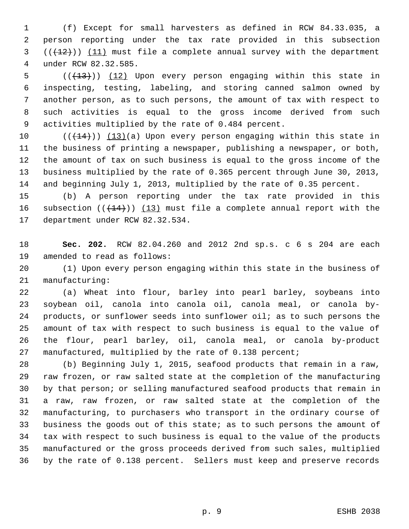(f) Except for small harvesters as defined in RCW 84.33.035, a person reporting under the tax rate provided in this subsection  $((+12))$  (11) must file a complete annual survey with the department under RCW 82.32.585.

5 (( $(13)$ )) (12) Upon every person engaging within this state in inspecting, testing, labeling, and storing canned salmon owned by another person, as to such persons, the amount of tax with respect to such activities is equal to the gross income derived from such activities multiplied by the rate of 0.484 percent.

 $((+14))$   $(13)(a)$  Upon every person engaging within this state in the business of printing a newspaper, publishing a newspaper, or both, the amount of tax on such business is equal to the gross income of the business multiplied by the rate of 0.365 percent through June 30, 2013, and beginning July 1, 2013, multiplied by the rate of 0.35 percent.

 (b) A person reporting under the tax rate provided in this 16 subsection  $((+14))$   $(13)$  must file a complete annual report with the department under RCW 82.32.534.

 **Sec. 202.** RCW 82.04.260 and 2012 2nd sp.s. c 6 s 204 are each amended to read as follows:

 (1) Upon every person engaging within this state in the business of manufacturing:

 (a) Wheat into flour, barley into pearl barley, soybeans into soybean oil, canola into canola oil, canola meal, or canola by- products, or sunflower seeds into sunflower oil; as to such persons the amount of tax with respect to such business is equal to the value of the flour, pearl barley, oil, canola meal, or canola by-product manufactured, multiplied by the rate of 0.138 percent;

 (b) Beginning July 1, 2015, seafood products that remain in a raw, raw frozen, or raw salted state at the completion of the manufacturing by that person; or selling manufactured seafood products that remain in a raw, raw frozen, or raw salted state at the completion of the manufacturing, to purchasers who transport in the ordinary course of business the goods out of this state; as to such persons the amount of tax with respect to such business is equal to the value of the products manufactured or the gross proceeds derived from such sales, multiplied by the rate of 0.138 percent. Sellers must keep and preserve records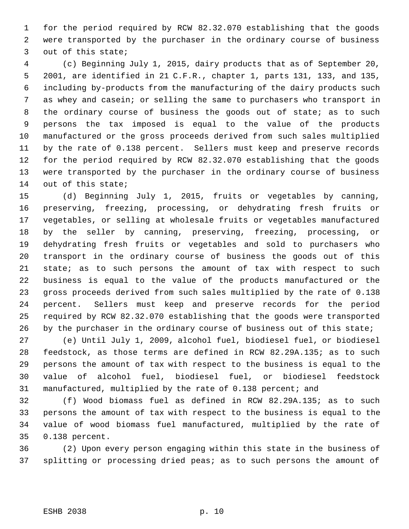for the period required by RCW 82.32.070 establishing that the goods were transported by the purchaser in the ordinary course of business out of this state;

 (c) Beginning July 1, 2015, dairy products that as of September 20, 2001, are identified in 21 C.F.R., chapter 1, parts 131, 133, and 135, including by-products from the manufacturing of the dairy products such as whey and casein; or selling the same to purchasers who transport in 8 the ordinary course of business the goods out of state; as to such persons the tax imposed is equal to the value of the products manufactured or the gross proceeds derived from such sales multiplied by the rate of 0.138 percent. Sellers must keep and preserve records for the period required by RCW 82.32.070 establishing that the goods were transported by the purchaser in the ordinary course of business out of this state;

 (d) Beginning July 1, 2015, fruits or vegetables by canning, preserving, freezing, processing, or dehydrating fresh fruits or vegetables, or selling at wholesale fruits or vegetables manufactured by the seller by canning, preserving, freezing, processing, or dehydrating fresh fruits or vegetables and sold to purchasers who transport in the ordinary course of business the goods out of this state; as to such persons the amount of tax with respect to such business is equal to the value of the products manufactured or the gross proceeds derived from such sales multiplied by the rate of 0.138 percent. Sellers must keep and preserve records for the period required by RCW 82.32.070 establishing that the goods were transported 26 by the purchaser in the ordinary course of business out of this state;

 (e) Until July 1, 2009, alcohol fuel, biodiesel fuel, or biodiesel feedstock, as those terms are defined in RCW 82.29A.135; as to such persons the amount of tax with respect to the business is equal to the value of alcohol fuel, biodiesel fuel, or biodiesel feedstock manufactured, multiplied by the rate of 0.138 percent; and

 (f) Wood biomass fuel as defined in RCW 82.29A.135; as to such persons the amount of tax with respect to the business is equal to the value of wood biomass fuel manufactured, multiplied by the rate of 0.138 percent.

 (2) Upon every person engaging within this state in the business of splitting or processing dried peas; as to such persons the amount of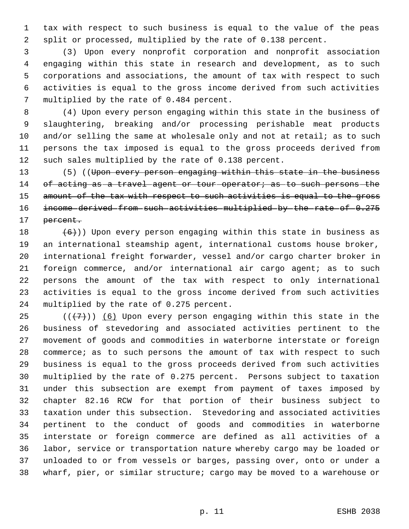tax with respect to such business is equal to the value of the peas split or processed, multiplied by the rate of 0.138 percent.

 (3) Upon every nonprofit corporation and nonprofit association engaging within this state in research and development, as to such corporations and associations, the amount of tax with respect to such activities is equal to the gross income derived from such activities multiplied by the rate of 0.484 percent.

 (4) Upon every person engaging within this state in the business of slaughtering, breaking and/or processing perishable meat products 10 and/or selling the same at wholesale only and not at retail; as to such persons the tax imposed is equal to the gross proceeds derived from such sales multiplied by the rate of 0.138 percent.

13 (5) ((Upon every person engaging within this state in the business 14 of acting as a travel agent or tour operator; as to such persons the 15 amount of the tax with respect to such activities is equal to the gross 16 income derived from such activities multiplied by the rate of 0.275 percent.

 $(6)$ )) Upon every person engaging within this state in business as an international steamship agent, international customs house broker, international freight forwarder, vessel and/or cargo charter broker in foreign commerce, and/or international air cargo agent; as to such persons the amount of the tax with respect to only international activities is equal to the gross income derived from such activities multiplied by the rate of 0.275 percent.

25 ( $(\overline{+7})$ ) (6) Upon every person engaging within this state in the business of stevedoring and associated activities pertinent to the movement of goods and commodities in waterborne interstate or foreign 28 commerce; as to such persons the amount of tax with respect to such business is equal to the gross proceeds derived from such activities multiplied by the rate of 0.275 percent. Persons subject to taxation under this subsection are exempt from payment of taxes imposed by chapter 82.16 RCW for that portion of their business subject to taxation under this subsection. Stevedoring and associated activities pertinent to the conduct of goods and commodities in waterborne interstate or foreign commerce are defined as all activities of a labor, service or transportation nature whereby cargo may be loaded or unloaded to or from vessels or barges, passing over, onto or under a wharf, pier, or similar structure; cargo may be moved to a warehouse or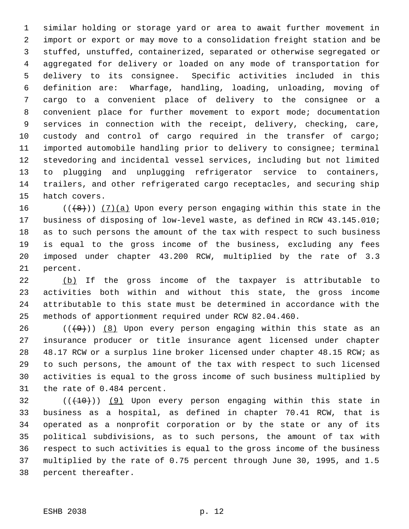similar holding or storage yard or area to await further movement in import or export or may move to a consolidation freight station and be stuffed, unstuffed, containerized, separated or otherwise segregated or aggregated for delivery or loaded on any mode of transportation for delivery to its consignee. Specific activities included in this definition are: Wharfage, handling, loading, unloading, moving of cargo to a convenient place of delivery to the consignee or a convenient place for further movement to export mode; documentation services in connection with the receipt, delivery, checking, care, custody and control of cargo required in the transfer of cargo; imported automobile handling prior to delivery to consignee; terminal stevedoring and incidental vessel services, including but not limited to plugging and unplugging refrigerator service to containers, trailers, and other refrigerated cargo receptacles, and securing ship hatch covers.

16 ( $(\langle 4\rangle)$ ) (7)(a) Upon every person engaging within this state in the business of disposing of low-level waste, as defined in RCW 43.145.010; as to such persons the amount of the tax with respect to such business is equal to the gross income of the business, excluding any fees imposed under chapter 43.200 RCW, multiplied by the rate of 3.3 percent.

22 (b) If the gross income of the taxpayer is attributable to activities both within and without this state, the gross income attributable to this state must be determined in accordance with the methods of apportionment required under RCW 82.04.460.

26 ( $(\frac{49}{})$ ) (8) Upon every person engaging within this state as an insurance producer or title insurance agent licensed under chapter 48.17 RCW or a surplus line broker licensed under chapter 48.15 RCW; as to such persons, the amount of the tax with respect to such licensed activities is equal to the gross income of such business multiplied by the rate of 0.484 percent.

 (( $(10)$ )) (9) Upon every person engaging within this state in business as a hospital, as defined in chapter 70.41 RCW, that is operated as a nonprofit corporation or by the state or any of its political subdivisions, as to such persons, the amount of tax with respect to such activities is equal to the gross income of the business multiplied by the rate of 0.75 percent through June 30, 1995, and 1.5 percent thereafter.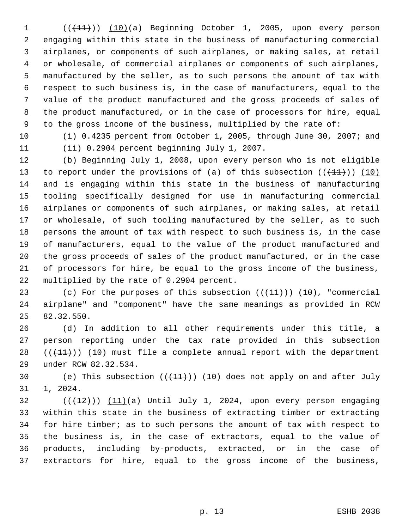1 (( $(11)$ )) (10)(a) Beginning October 1, 2005, upon every person engaging within this state in the business of manufacturing commercial airplanes, or components of such airplanes, or making sales, at retail or wholesale, of commercial airplanes or components of such airplanes, manufactured by the seller, as to such persons the amount of tax with respect to such business is, in the case of manufacturers, equal to the value of the product manufactured and the gross proceeds of sales of the product manufactured, or in the case of processors for hire, equal to the gross income of the business, multiplied by the rate of:

 (i) 0.4235 percent from October 1, 2005, through June 30, 2007; and (ii) 0.2904 percent beginning July 1, 2007.

 (b) Beginning July 1, 2008, upon every person who is not eligible 13 to report under the provisions of (a) of this subsection  $((+11))$   $(10)$  and is engaging within this state in the business of manufacturing tooling specifically designed for use in manufacturing commercial airplanes or components of such airplanes, or making sales, at retail or wholesale, of such tooling manufactured by the seller, as to such persons the amount of tax with respect to such business is, in the case of manufacturers, equal to the value of the product manufactured and the gross proceeds of sales of the product manufactured, or in the case of processors for hire, be equal to the gross income of the business, multiplied by the rate of 0.2904 percent.

23 (c) For the purposes of this subsection  $((+11))$   $(10)$ , "commercial airplane" and "component" have the same meanings as provided in RCW 82.32.550.

 (d) In addition to all other requirements under this title, a person reporting under the tax rate provided in this subsection  $((+11))$   $(10)$  must file a complete annual report with the department under RCW 82.32.534.

30 (e) This subsection  $((+11))$   $(10)$  does not apply on and after July 1, 2024.

 $(11)(a)$  (( $(12)(a)$ ) Until July 1, 2024, upon every person engaging within this state in the business of extracting timber or extracting for hire timber; as to such persons the amount of tax with respect to the business is, in the case of extractors, equal to the value of products, including by-products, extracted, or in the case of extractors for hire, equal to the gross income of the business,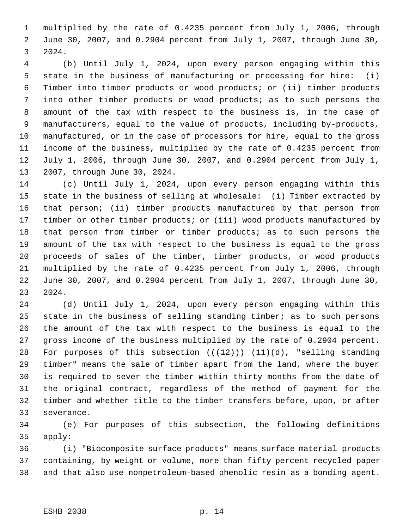multiplied by the rate of 0.4235 percent from July 1, 2006, through June 30, 2007, and 0.2904 percent from July 1, 2007, through June 30, 2024.

 (b) Until July 1, 2024, upon every person engaging within this state in the business of manufacturing or processing for hire: (i) Timber into timber products or wood products; or (ii) timber products into other timber products or wood products; as to such persons the amount of the tax with respect to the business is, in the case of manufacturers, equal to the value of products, including by-products, manufactured, or in the case of processors for hire, equal to the gross income of the business, multiplied by the rate of 0.4235 percent from July 1, 2006, through June 30, 2007, and 0.2904 percent from July 1, 2007, through June 30, 2024.

 (c) Until July 1, 2024, upon every person engaging within this state in the business of selling at wholesale: (i) Timber extracted by that person; (ii) timber products manufactured by that person from timber or other timber products; or (iii) wood products manufactured by that person from timber or timber products; as to such persons the amount of the tax with respect to the business is equal to the gross proceeds of sales of the timber, timber products, or wood products multiplied by the rate of 0.4235 percent from July 1, 2006, through June 30, 2007, and 0.2904 percent from July 1, 2007, through June 30, 2024.

 (d) Until July 1, 2024, upon every person engaging within this state in the business of selling standing timber; as to such persons the amount of the tax with respect to the business is equal to the gross income of the business multiplied by the rate of 0.2904 percent. 28 For purposes of this subsection  $((+12))$   $(11)(d)$ , "selling standing timber" means the sale of timber apart from the land, where the buyer is required to sever the timber within thirty months from the date of the original contract, regardless of the method of payment for the timber and whether title to the timber transfers before, upon, or after severance.

 (e) For purposes of this subsection, the following definitions apply:

 (i) "Biocomposite surface products" means surface material products containing, by weight or volume, more than fifty percent recycled paper and that also use nonpetroleum-based phenolic resin as a bonding agent.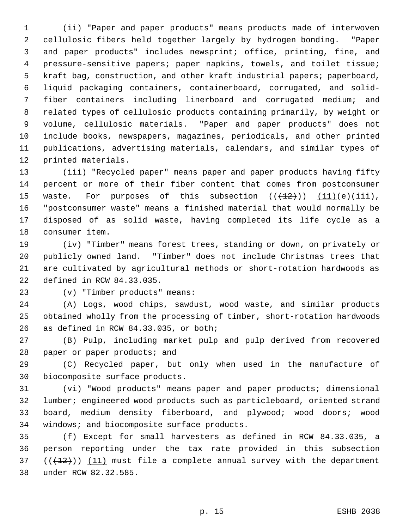(ii) "Paper and paper products" means products made of interwoven cellulosic fibers held together largely by hydrogen bonding. "Paper and paper products" includes newsprint; office, printing, fine, and pressure-sensitive papers; paper napkins, towels, and toilet tissue; kraft bag, construction, and other kraft industrial papers; paperboard, liquid packaging containers, containerboard, corrugated, and solid- fiber containers including linerboard and corrugated medium; and related types of cellulosic products containing primarily, by weight or volume, cellulosic materials. "Paper and paper products" does not include books, newspapers, magazines, periodicals, and other printed publications, advertising materials, calendars, and similar types of printed materials.

 (iii) "Recycled paper" means paper and paper products having fifty percent or more of their fiber content that comes from postconsumer 15 waste. For purposes of this subsection  $((+12))$   $(11)(e)(iii)$ , "postconsumer waste" means a finished material that would normally be disposed of as solid waste, having completed its life cycle as a consumer item.

 (iv) "Timber" means forest trees, standing or down, on privately or publicly owned land. "Timber" does not include Christmas trees that are cultivated by agricultural methods or short-rotation hardwoods as defined in RCW 84.33.035.

(v) "Timber products" means:

 (A) Logs, wood chips, sawdust, wood waste, and similar products obtained wholly from the processing of timber, short-rotation hardwoods as defined in RCW 84.33.035, or both;

 (B) Pulp, including market pulp and pulp derived from recovered 28 paper or paper products; and

 (C) Recycled paper, but only when used in the manufacture of biocomposite surface products.

 (vi) "Wood products" means paper and paper products; dimensional lumber; engineered wood products such as particleboard, oriented strand board, medium density fiberboard, and plywood; wood doors; wood windows; and biocomposite surface products.

 (f) Except for small harvesters as defined in RCW 84.33.035, a person reporting under the tax rate provided in this subsection  $((+12))$   $(11)$  must file a complete annual survey with the department under RCW 82.32.585.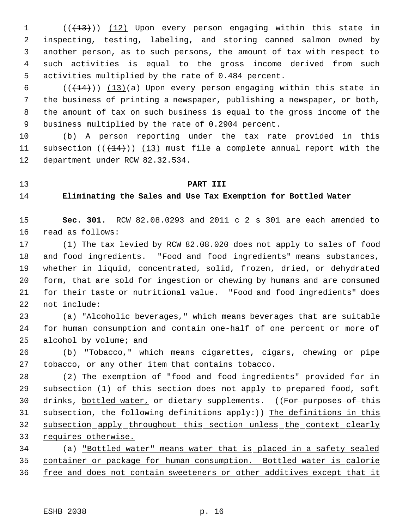1 (( $\left(\frac{13}{13}\right)$ ) (12) Upon every person engaging within this state in inspecting, testing, labeling, and storing canned salmon owned by another person, as to such persons, the amount of tax with respect to such activities is equal to the gross income derived from such activities multiplied by the rate of 0.484 percent.

 $((+14))$   $(13)(a)$  Upon every person engaging within this state in the business of printing a newspaper, publishing a newspaper, or both, the amount of tax on such business is equal to the gross income of the business multiplied by the rate of 0.2904 percent.

 (b) A person reporting under the tax rate provided in this 11 subsection  $((+14))$   $(13)$  must file a complete annual report with the department under RCW 82.32.534.

## **PART III**

**Eliminating the Sales and Use Tax Exemption for Bottled Water**

 **Sec. 301.** RCW 82.08.0293 and 2011 c 2 s 301 are each amended to read as follows:

 (1) The tax levied by RCW 82.08.020 does not apply to sales of food and food ingredients. "Food and food ingredients" means substances, whether in liquid, concentrated, solid, frozen, dried, or dehydrated form, that are sold for ingestion or chewing by humans and are consumed for their taste or nutritional value. "Food and food ingredients" does not include:

 (a) "Alcoholic beverages," which means beverages that are suitable for human consumption and contain one-half of one percent or more of alcohol by volume; and

 (b) "Tobacco," which means cigarettes, cigars, chewing or pipe tobacco, or any other item that contains tobacco.

 (2) The exemption of "food and food ingredients" provided for in subsection (1) of this section does not apply to prepared food, soft 30 drinks, bottled water, or dietary supplements. ((For purposes of this 31 subsection, the following definitions apply:)) The definitions in this subsection apply throughout this section unless the context clearly 33 requires otherwise.

 (a) "Bottled water" means water that is placed in a safety sealed container or package for human consumption. Bottled water is calorie 36 free and does not contain sweeteners or other additives except that it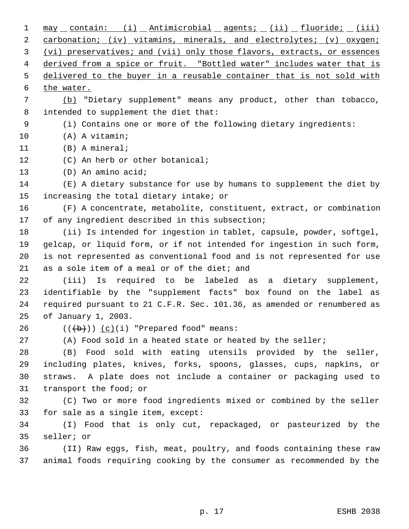1 may contain: (i) Antimicrobial agents; (ii) fluoride; (iii) 2 carbonation; (iv) vitamins, minerals, and electrolytes; (v) oxygen; (vi) preservatives; and (vii) only those flavors, extracts, or essences 4 derived from a spice or fruit. "Bottled water" includes water that is 5 delivered to the buyer in a reusable container that is not sold with 6 the water. (b) "Dietary supplement" means any product, other than tobacco, intended to supplement the diet that: (i) Contains one or more of the following dietary ingredients: (A) A vitamin; (B) A mineral; 12 (C) An herb or other botanical; (D) An amino acid; (E) A dietary substance for use by humans to supplement the diet by increasing the total dietary intake; or (F) A concentrate, metabolite, constituent, extract, or combination of any ingredient described in this subsection; (ii) Is intended for ingestion in tablet, capsule, powder, softgel, gelcap, or liquid form, or if not intended for ingestion in such form, is not represented as conventional food and is not represented for use as a sole item of a meal or of the diet; and (iii) Is required to be labeled as a dietary supplement, identifiable by the "supplement facts" box found on the label as required pursuant to 21 C.F.R. Sec. 101.36, as amended or renumbered as of January 1, 2003.  $((\overline{\mathbf{b}}))$   $(c)(i)$  "Prepared food" means: (A) Food sold in a heated state or heated by the seller; (B) Food sold with eating utensils provided by the seller, including plates, knives, forks, spoons, glasses, cups, napkins, or straws. A plate does not include a container or packaging used to transport the food; or (C) Two or more food ingredients mixed or combined by the seller for sale as a single item, except: (I) Food that is only cut, repackaged, or pasteurized by the seller; or (II) Raw eggs, fish, meat, poultry, and foods containing these raw animal foods requiring cooking by the consumer as recommended by the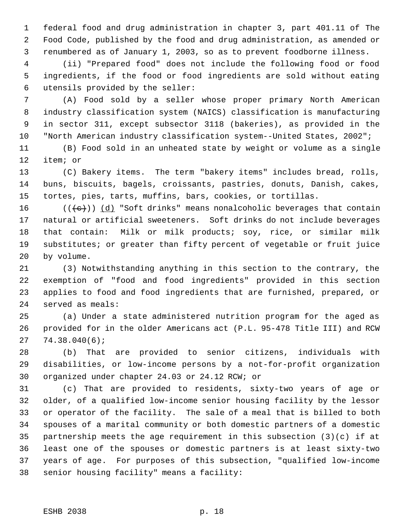federal food and drug administration in chapter 3, part 401.11 of The Food Code, published by the food and drug administration, as amended or renumbered as of January 1, 2003, so as to prevent foodborne illness.

 (ii) "Prepared food" does not include the following food or food ingredients, if the food or food ingredients are sold without eating utensils provided by the seller:

 (A) Food sold by a seller whose proper primary North American industry classification system (NAICS) classification is manufacturing in sector 311, except subsector 3118 (bakeries), as provided in the "North American industry classification system--United States, 2002";

 (B) Food sold in an unheated state by weight or volume as a single item; or

 (C) Bakery items. The term "bakery items" includes bread, rolls, buns, biscuits, bagels, croissants, pastries, donuts, Danish, cakes, tortes, pies, tarts, muffins, bars, cookies, or tortillas.

16 ( $(\langle e \rangle)$ ) (d) "Soft drinks" means nonalcoholic beverages that contain natural or artificial sweeteners. Soft drinks do not include beverages that contain: Milk or milk products; soy, rice, or similar milk substitutes; or greater than fifty percent of vegetable or fruit juice by volume.

 (3) Notwithstanding anything in this section to the contrary, the exemption of "food and food ingredients" provided in this section applies to food and food ingredients that are furnished, prepared, or served as meals:

 (a) Under a state administered nutrition program for the aged as provided for in the older Americans act (P.L. 95-478 Title III) and RCW 74.38.040(6);

 (b) That are provided to senior citizens, individuals with disabilities, or low-income persons by a not-for-profit organization organized under chapter 24.03 or 24.12 RCW; or

 (c) That are provided to residents, sixty-two years of age or older, of a qualified low-income senior housing facility by the lessor or operator of the facility. The sale of a meal that is billed to both spouses of a marital community or both domestic partners of a domestic partnership meets the age requirement in this subsection (3)(c) if at least one of the spouses or domestic partners is at least sixty-two years of age. For purposes of this subsection, "qualified low-income senior housing facility" means a facility: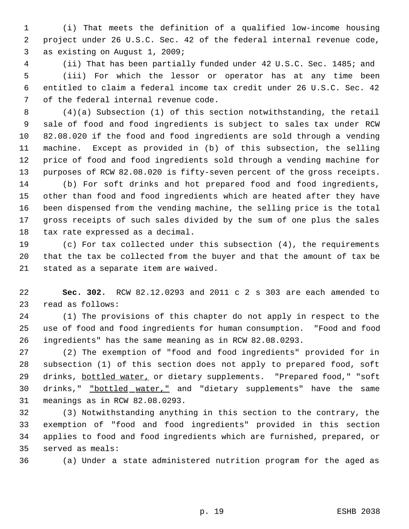(i) That meets the definition of a qualified low-income housing project under 26 U.S.C. Sec. 42 of the federal internal revenue code, as existing on August 1, 2009;

 (ii) That has been partially funded under 42 U.S.C. Sec. 1485; and (iii) For which the lessor or operator has at any time been entitled to claim a federal income tax credit under 26 U.S.C. Sec. 42 of the federal internal revenue code.

 (4)(a) Subsection (1) of this section notwithstanding, the retail sale of food and food ingredients is subject to sales tax under RCW 82.08.020 if the food and food ingredients are sold through a vending machine. Except as provided in (b) of this subsection, the selling price of food and food ingredients sold through a vending machine for purposes of RCW 82.08.020 is fifty-seven percent of the gross receipts.

 (b) For soft drinks and hot prepared food and food ingredients, other than food and food ingredients which are heated after they have been dispensed from the vending machine, the selling price is the total gross receipts of such sales divided by the sum of one plus the sales tax rate expressed as a decimal.

 (c) For tax collected under this subsection (4), the requirements that the tax be collected from the buyer and that the amount of tax be stated as a separate item are waived.

 **Sec. 302.** RCW 82.12.0293 and 2011 c 2 s 303 are each amended to read as follows:

 (1) The provisions of this chapter do not apply in respect to the use of food and food ingredients for human consumption. "Food and food ingredients" has the same meaning as in RCW 82.08.0293.

 (2) The exemption of "food and food ingredients" provided for in subsection (1) of this section does not apply to prepared food, soft 29 drinks, bottled water, or dietary supplements. "Prepared food," "soft 30 drinks," "bottled water," and "dietary supplements" have the same meanings as in RCW 82.08.0293.

 (3) Notwithstanding anything in this section to the contrary, the exemption of "food and food ingredients" provided in this section applies to food and food ingredients which are furnished, prepared, or served as meals:

(a) Under a state administered nutrition program for the aged as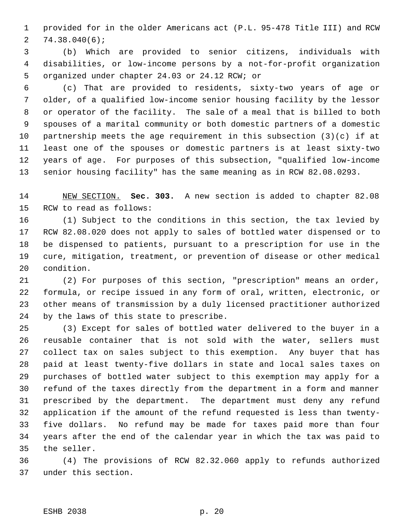provided for in the older Americans act (P.L. 95-478 Title III) and RCW 74.38.040(6);

 (b) Which are provided to senior citizens, individuals with disabilities, or low-income persons by a not-for-profit organization organized under chapter 24.03 or 24.12 RCW; or

 (c) That are provided to residents, sixty-two years of age or older, of a qualified low-income senior housing facility by the lessor or operator of the facility. The sale of a meal that is billed to both spouses of a marital community or both domestic partners of a domestic partnership meets the age requirement in this subsection (3)(c) if at least one of the spouses or domestic partners is at least sixty-two years of age. For purposes of this subsection, "qualified low-income senior housing facility" has the same meaning as in RCW 82.08.0293.

 NEW SECTION. **Sec. 303.** A new section is added to chapter 82.08 RCW to read as follows:

 (1) Subject to the conditions in this section, the tax levied by RCW 82.08.020 does not apply to sales of bottled water dispensed or to be dispensed to patients, pursuant to a prescription for use in the cure, mitigation, treatment, or prevention of disease or other medical condition.

 (2) For purposes of this section, "prescription" means an order, formula, or recipe issued in any form of oral, written, electronic, or other means of transmission by a duly licensed practitioner authorized by the laws of this state to prescribe.

 (3) Except for sales of bottled water delivered to the buyer in a reusable container that is not sold with the water, sellers must collect tax on sales subject to this exemption. Any buyer that has paid at least twenty-five dollars in state and local sales taxes on purchases of bottled water subject to this exemption may apply for a refund of the taxes directly from the department in a form and manner prescribed by the department. The department must deny any refund application if the amount of the refund requested is less than twenty- five dollars. No refund may be made for taxes paid more than four years after the end of the calendar year in which the tax was paid to the seller.

 (4) The provisions of RCW 82.32.060 apply to refunds authorized under this section.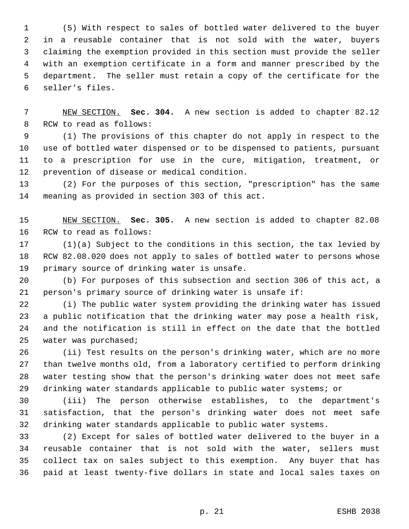(5) With respect to sales of bottled water delivered to the buyer in a reusable container that is not sold with the water, buyers claiming the exemption provided in this section must provide the seller with an exemption certificate in a form and manner prescribed by the department. The seller must retain a copy of the certificate for the seller's files.

 NEW SECTION. **Sec. 304.** A new section is added to chapter 82.12 RCW to read as follows:

 (1) The provisions of this chapter do not apply in respect to the use of bottled water dispensed or to be dispensed to patients, pursuant to a prescription for use in the cure, mitigation, treatment, or prevention of disease or medical condition.

 (2) For the purposes of this section, "prescription" has the same meaning as provided in section 303 of this act.

 NEW SECTION. **Sec. 305.** A new section is added to chapter 82.08 RCW to read as follows:

 (1)(a) Subject to the conditions in this section, the tax levied by RCW 82.08.020 does not apply to sales of bottled water to persons whose primary source of drinking water is unsafe.

 (b) For purposes of this subsection and section 306 of this act, a person's primary source of drinking water is unsafe if:

 (i) The public water system providing the drinking water has issued a public notification that the drinking water may pose a health risk, and the notification is still in effect on the date that the bottled water was purchased;

 (ii) Test results on the person's drinking water, which are no more than twelve months old, from a laboratory certified to perform drinking water testing show that the person's drinking water does not meet safe drinking water standards applicable to public water systems; or

 (iii) The person otherwise establishes, to the department's satisfaction, that the person's drinking water does not meet safe drinking water standards applicable to public water systems.

 (2) Except for sales of bottled water delivered to the buyer in a reusable container that is not sold with the water, sellers must collect tax on sales subject to this exemption. Any buyer that has paid at least twenty-five dollars in state and local sales taxes on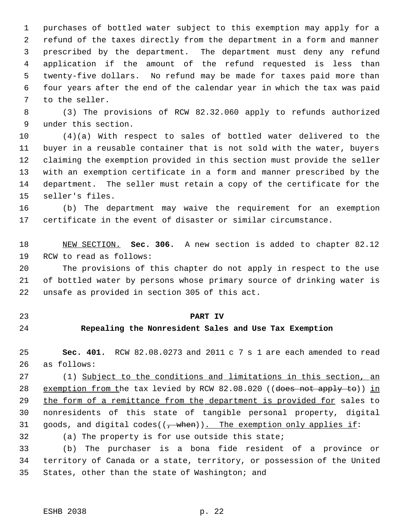purchases of bottled water subject to this exemption may apply for a refund of the taxes directly from the department in a form and manner prescribed by the department. The department must deny any refund application if the amount of the refund requested is less than twenty-five dollars. No refund may be made for taxes paid more than four years after the end of the calendar year in which the tax was paid to the seller.

 (3) The provisions of RCW 82.32.060 apply to refunds authorized under this section.

 (4)(a) With respect to sales of bottled water delivered to the buyer in a reusable container that is not sold with the water, buyers claiming the exemption provided in this section must provide the seller with an exemption certificate in a form and manner prescribed by the department. The seller must retain a copy of the certificate for the seller's files.

 (b) The department may waive the requirement for an exemption certificate in the event of disaster or similar circumstance.

 NEW SECTION. **Sec. 306.** A new section is added to chapter 82.12 RCW to read as follows:

 The provisions of this chapter do not apply in respect to the use of bottled water by persons whose primary source of drinking water is unsafe as provided in section 305 of this act.

- 
- 

# **PART IV**

# **Repealing the Nonresident Sales and Use Tax Exemption**

 **Sec. 401.** RCW 82.08.0273 and 2011 c 7 s 1 are each amended to read as follows:

27 (1) Subject to the conditions and limitations in this section, an 28 exemption from the tax levied by RCW 82.08.020 ((does not apply to)) in 29 the form of a remittance from the department is provided for sales to nonresidents of this state of tangible personal property, digital 31 goods, and digital codes( $(\tau$  when)). The exemption only applies if:

(a) The property is for use outside this state;

 (b) The purchaser is a bona fide resident of a province or territory of Canada or a state, territory, or possession of the United States, other than the state of Washington; and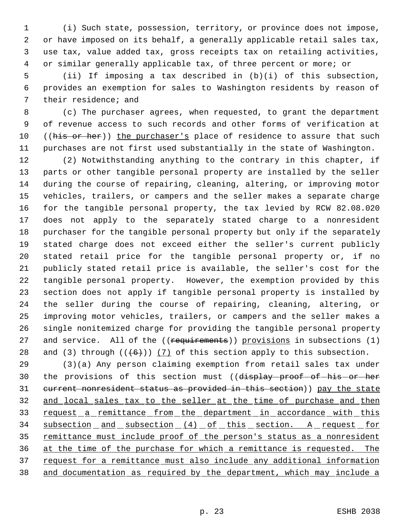(i) Such state, possession, territory, or province does not impose, or have imposed on its behalf, a generally applicable retail sales tax, use tax, value added tax, gross receipts tax on retailing activities, or similar generally applicable tax, of three percent or more; or

 (ii) If imposing a tax described in (b)(i) of this subsection, provides an exemption for sales to Washington residents by reason of their residence; and

 (c) The purchaser agrees, when requested, to grant the department of revenue access to such records and other forms of verification at 10 ((his or her)) the purchaser's place of residence to assure that such purchases are not first used substantially in the state of Washington.

 (2) Notwithstanding anything to the contrary in this chapter, if parts or other tangible personal property are installed by the seller during the course of repairing, cleaning, altering, or improving motor vehicles, trailers, or campers and the seller makes a separate charge for the tangible personal property, the tax levied by RCW 82.08.020 does not apply to the separately stated charge to a nonresident purchaser for the tangible personal property but only if the separately stated charge does not exceed either the seller's current publicly stated retail price for the tangible personal property or, if no publicly stated retail price is available, the seller's cost for the tangible personal property. However, the exemption provided by this section does not apply if tangible personal property is installed by the seller during the course of repairing, cleaning, altering, or improving motor vehicles, trailers, or campers and the seller makes a single nonitemized charge for providing the tangible personal property 27 and service. All of the ((requirements)) provisions in subsections (1) 28 and (3) through  $((+6))$  (7) of this section apply to this subsection.

 (3)(a) Any person claiming exemption from retail sales tax under 30 the provisions of this section must ((display-proof-of-his-or-her 31 current nonresident status as provided in this section)) pay the state 32 and local sales tax to the seller at the time of purchase and then 33 request a remittance from the department in accordance with this 34 subsection and subsection (4) of this section. A request for 35 remittance must include proof of the person's status as a nonresident at the time of the purchase for which a remittance is requested. The 37 request for a remittance must also include any additional information and documentation as required by the department, which may include a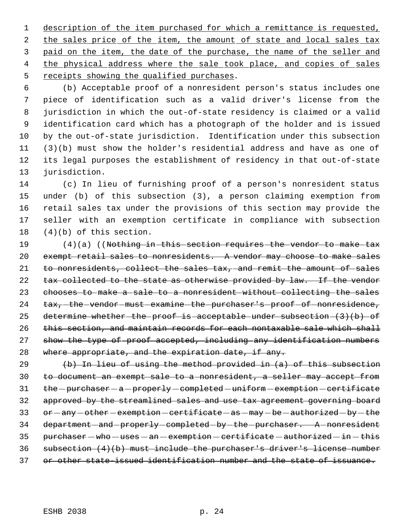description of the item purchased for which a remittance is requested, 2 the sales price of the item, the amount of state and local sales tax paid on the item, the date of the purchase, the name of the seller and 4 the physical address where the sale took place, and copies of sales receipts showing the qualified purchases.

 (b) Acceptable proof of a nonresident person's status includes one piece of identification such as a valid driver's license from the jurisdiction in which the out-of-state residency is claimed or a valid identification card which has a photograph of the holder and is issued by the out-of-state jurisdiction. Identification under this subsection (3)(b) must show the holder's residential address and have as one of its legal purposes the establishment of residency in that out-of-state jurisdiction.

 (c) In lieu of furnishing proof of a person's nonresident status under (b) of this subsection (3), a person claiming exemption from retail sales tax under the provisions of this section may provide the seller with an exemption certificate in compliance with subsection (4)(b) of this section.

19 (4)(a) ((Nothing in this section requires the vendor to make tax exempt retail sales to nonresidents. A vendor may choose to make sales to nonresidents, collect the sales tax, and remit the amount of sales 22 tax collected to the state as otherwise provided by law. If the vendor chooses to make a sale to a nonresident without collecting the sales 24 tax, the vendor must examine the purchaser's proof of nonresidence, 25 determine whether the proof is acceptable under subsection  $(3)(b)$  of 26 this section, and maintain records for each nontaxable sale which shall 27 show the type of proof accepted, including any identification numbers 28 where appropriate, and the expiration date, if any.

 (b) In lieu of using the method provided in (a) of this subsection to document an exempt sale to a nonresident, a seller may accept from 31 the - purchaser - a - properly - completed - uniform - exemption - certificate approved by the streamlined sales and use tax agreement governing board 33 or -any -other - exemption - certificate - as - may - be - authorized - by - the 34 department - and - properly - completed - by - the - purchaser. A - nonresident purchaser  $-$  who  $-$  uses  $-$  an  $-$  exemption  $-$  certificate  $-$  authorized  $-$  in  $-$  this subsection (4)(b) must include the purchaser's driver's license number or other state-issued identification number and the state of issuance.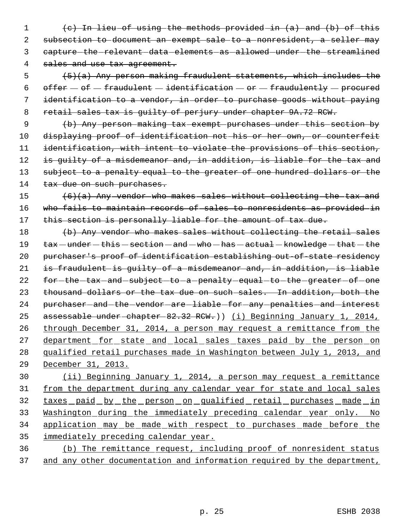1 (c) In lieu of using the methods provided in (a) and (b) of this 2 subsection to document an exempt sale to a nonresident, a seller may 3 capture-the-relevant-data-elements-as-allowed-under-the-streamlined 4 sales and use tax agreement.

5  $(5)(a)$  Any person making fraudulent statements, which includes the 6 offer  $-$  of  $-$  fraudulent  $-$  identification  $-$  or  $-$  fraudulently  $-$  procured 7 identification to a vendor, in order to purchase goods without paying 8 retail sales tax is guilty of perjury under chapter 9A.72 RCW.

 9 (b) Any person making tax exempt purchases under this section by 10 displaying proof of identification not his or her own, or counterfeit 11 identification, with intent to violate the provisions of this section, 12 is quilty of a misdemeanor and, in addition, is liable for the tax and 13 subject to a penalty equal to the greater of one hundred dollars or the 14 tax due on such purchases.

15 (6)(a) Any vendor who makes sales without collecting the tax and 16 who fails to maintain records of sales to nonresidents as provided in 17 this section is personally liable for the amount of tax due.

18 (b) Any vendor who makes sales without collecting the retail sales 19 tax - under - this - section - and - who - has - actual - knowledge - that - the 20 purchaser's proof of identification establishing out-of-state residency 21 is fraudulent is guilty of a misdemeanor and, in addition, is liable 22 for-the-tax-and-subject-to-a-penalty-equal-to-the-greater-of-one 23 thousand dollars or the tax due on such sales. In addition, both the 24 purchaser-and-the-vendor-are-liable-for-any-penalties-and-interest 25 assessable under chapter 82.32 RCW.)) (i) Beginning January 1, 2014, 26 through December 31, 2014, a person may request a remittance from the 27 department for state and local sales taxes paid by the person on 28 qualified retail purchases made in Washington between July 1, 2013, and 29 December 31, 2013.

 (ii) Beginning January 1, 2014, a person may request a remittance 31 from the department during any calendar year for state and local sales 32 taxes paid by the person on qualified retail purchases made in Washington during the immediately preceding calendar year only. No application may be made with respect to purchases made before the immediately preceding calendar year.

36 (b) The remittance request, including proof of nonresident status 37 and any other documentation and information required by the department,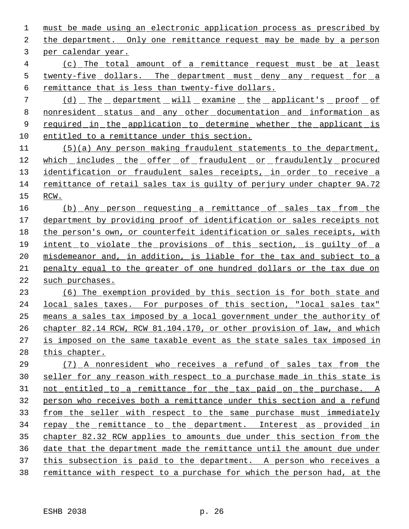must be made using an electronic application process as prescribed by the department. Only one remittance request may be made by a person per calendar year.

 (c) The total amount of a remittance request must be at least 5 twenty-five dollars. The department must deny any request for a remittance that is less than twenty-five dollars.

 (d) The department will examine the applicant's proof of nonresident status and any other documentation and information as 9 required in the application to determine whether the applicant is 10 entitled to a remittance under this section.

 (5)(a) Any person making fraudulent statements to the department, which includes the offer of fraudulent or fraudulently procured 13 identification or fraudulent sales receipts, in order to receive a remittance of retail sales tax is guilty of perjury under chapter 9A.72 RCW.

16 (b) Any person requesting a remittance of sales tax from the department by providing proof of identification or sales receipts not the person's own, or counterfeit identification or sales receipts, with intent to violate the provisions of this section, is guilty of a misdemeanor and, in addition, is liable for the tax and subject to a penalty equal to the greater of one hundred dollars or the tax due on 22 such purchases.

 (6) The exemption provided by this section is for both state and local sales taxes. For purposes of this section, "local sales tax" means a sales tax imposed by a local government under the authority of chapter 82.14 RCW, RCW 81.104.170, or other provision of law, and which is imposed on the same taxable event as the state sales tax imposed in 28 this chapter.

 (7) A nonresident who receives a refund of sales tax from the seller for any reason with respect to a purchase made in this state is not entitled to a remittance for the tax paid on the purchase. A person who receives both a remittance under this section and a refund from the seller with respect to the same purchase must immediately 34 repay the remittance to the department. Interest as provided in chapter 82.32 RCW applies to amounts due under this section from the date that the department made the remittance until the amount due under 37 this subsection is paid to the department. A person who receives a remittance with respect to a purchase for which the person had, at the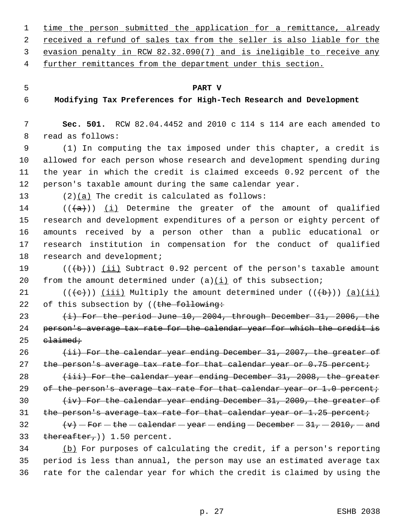- 1 time the person submitted the application for a remittance, already 2 received a refund of sales tax from the seller is also liable for the 3 evasion penalty in RCW 82.32.090(7) and is ineligible to receive any 4 further remittances from the department under this section. 5 **PART V** 6 **Modifying Tax Preferences for High-Tech Research and Development** 7 **Sec. 501.** RCW 82.04.4452 and 2010 c 114 s 114 are each amended to 8 read as follows: 9 (1) In computing the tax imposed under this chapter, a credit is 10 allowed for each person whose research and development spending during 11 the year in which the credit is claimed exceeds 0.92 percent of the 12 person's taxable amount during the same calendar year. 13 (2)(a) The credit is calculated as follows: 14 ( $(\langle a \rangle)$ ) (i) Determine the greater of the amount of qualified 15 research and development expenditures of a person or eighty percent of 16 amounts received by a person other than a public educational or 17 research institution in compensation for the conduct of qualified 18 research and development; 19  $((\{b\})$  (ii) Subtract 0.92 percent of the person's taxable amount
- 20 from the amount determined under  $(a)(i)$  of this subsection;
- 21 ( $(\langle e \rangle)$ ) (iii) Multiply the amount determined under  $((\langle b \rangle) )$  (a)(ii) 22 of this subsection by ((the following:
- 23 (i) For the period June 10, 2004, through December 31, 2006, the 24 person's average tax rate for the calendar year for which the credit is  $25$  claimed;
- 26  $(iii)$  For the calendar year ending December 31, 2007, the greater of 27 the person's average tax rate for that calendar year or 0.75 percent;
- 28 (iii) For the calendar year ending December 31, 2008, the greater 29 of the person's average tax rate for that calendar year or  $1.0$  percent;
- 30 (iv) For the calendar year ending December 31, 2009, the greater of 31 the person's average tax rate for that calendar year or  $1.25$  percent;
- 32  $\left\{\mathbf{v}\right\}$  For the calendar year ending December 31, 2010, and 33 thereafter,  $(1.50 \text{ percent.})$
- 34 (b) For purposes of calculating the credit, if a person's reporting 35 period is less than annual, the person may use an estimated average tax 36 rate for the calendar year for which the credit is claimed by using the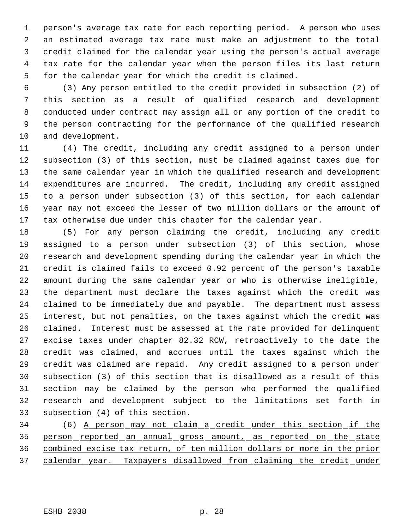person's average tax rate for each reporting period. A person who uses an estimated average tax rate must make an adjustment to the total credit claimed for the calendar year using the person's actual average tax rate for the calendar year when the person files its last return for the calendar year for which the credit is claimed.

 (3) Any person entitled to the credit provided in subsection (2) of this section as a result of qualified research and development conducted under contract may assign all or any portion of the credit to the person contracting for the performance of the qualified research and development.

 (4) The credit, including any credit assigned to a person under subsection (3) of this section, must be claimed against taxes due for the same calendar year in which the qualified research and development expenditures are incurred. The credit, including any credit assigned to a person under subsection (3) of this section, for each calendar year may not exceed the lesser of two million dollars or the amount of 17 tax otherwise due under this chapter for the calendar year.

 (5) For any person claiming the credit, including any credit assigned to a person under subsection (3) of this section, whose research and development spending during the calendar year in which the credit is claimed fails to exceed 0.92 percent of the person's taxable amount during the same calendar year or who is otherwise ineligible, the department must declare the taxes against which the credit was claimed to be immediately due and payable. The department must assess interest, but not penalties, on the taxes against which the credit was claimed. Interest must be assessed at the rate provided for delinquent excise taxes under chapter 82.32 RCW, retroactively to the date the credit was claimed, and accrues until the taxes against which the credit was claimed are repaid. Any credit assigned to a person under subsection (3) of this section that is disallowed as a result of this section may be claimed by the person who performed the qualified research and development subject to the limitations set forth in subsection (4) of this section.

 (6) A person may not claim a credit under this section if the person reported an annual gross amount, as reported on the state combined excise tax return, of ten million dollars or more in the prior calendar year. Taxpayers disallowed from claiming the credit under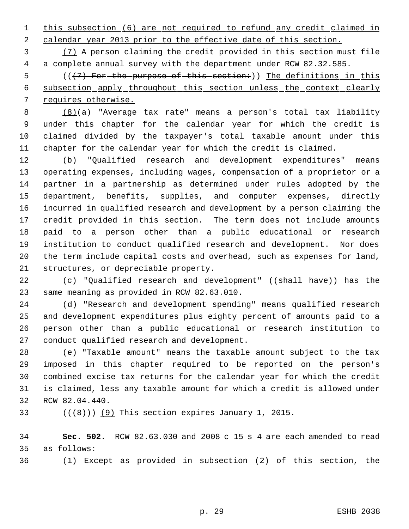1 this subsection (6) are not required to refund any credit claimed in calendar year 2013 prior to the effective date of this section.

 (7) A person claiming the credit provided in this section must file a complete annual survey with the department under RCW 82.32.585.

5 (( $(7)$  For the purpose of this section:)) The definitions in this subsection apply throughout this section unless the context clearly requires otherwise.

 (8)(a) "Average tax rate" means a person's total tax liability under this chapter for the calendar year for which the credit is claimed divided by the taxpayer's total taxable amount under this chapter for the calendar year for which the credit is claimed.

 (b) "Qualified research and development expenditures" means operating expenses, including wages, compensation of a proprietor or a partner in a partnership as determined under rules adopted by the department, benefits, supplies, and computer expenses, directly incurred in qualified research and development by a person claiming the credit provided in this section. The term does not include amounts paid to a person other than a public educational or research institution to conduct qualified research and development. Nor does the term include capital costs and overhead, such as expenses for land, structures, or depreciable property.

22 (c) "Qualified research and development" ((shall-have)) has the 23 same meaning as provided in RCW 82.63.010.

 (d) "Research and development spending" means qualified research and development expenditures plus eighty percent of amounts paid to a person other than a public educational or research institution to conduct qualified research and development.

 (e) "Taxable amount" means the taxable amount subject to the tax imposed in this chapter required to be reported on the person's combined excise tax returns for the calendar year for which the credit is claimed, less any taxable amount for which a credit is allowed under RCW 82.04.440.

33  $((\langle 8 \rangle)(9)$  This section expires January 1, 2015.

 **Sec. 502.** RCW 82.63.030 and 2008 c 15 s 4 are each amended to read as follows:

(1) Except as provided in subsection (2) of this section, the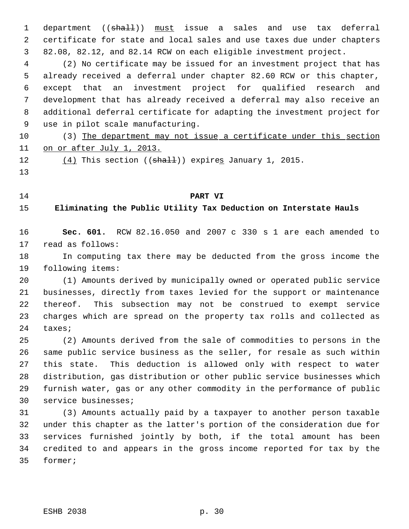1 department ((shall)) must issue a sales and use tax deferral certificate for state and local sales and use taxes due under chapters 82.08, 82.12, and 82.14 RCW on each eligible investment project.

 (2) No certificate may be issued for an investment project that has already received a deferral under chapter 82.60 RCW or this chapter, except that an investment project for qualified research and development that has already received a deferral may also receive an additional deferral certificate for adapting the investment project for use in pilot scale manufacturing.

10 (3) The department may not issue a certificate under this section 11 on or after July 1, 2013.

 $(4)$  This section (( $\frac{1}{2}$ ) expires January 1, 2015.

#### **PART VI**

**Eliminating the Public Utility Tax Deduction on Interstate Hauls**

 **Sec. 601.** RCW 82.16.050 and 2007 c 330 s 1 are each amended to read as follows:

 In computing tax there may be deducted from the gross income the following items:

 (1) Amounts derived by municipally owned or operated public service businesses, directly from taxes levied for the support or maintenance thereof. This subsection may not be construed to exempt service charges which are spread on the property tax rolls and collected as taxes;

 (2) Amounts derived from the sale of commodities to persons in the same public service business as the seller, for resale as such within this state. This deduction is allowed only with respect to water distribution, gas distribution or other public service businesses which furnish water, gas or any other commodity in the performance of public service businesses;

 (3) Amounts actually paid by a taxpayer to another person taxable under this chapter as the latter's portion of the consideration due for services furnished jointly by both, if the total amount has been credited to and appears in the gross income reported for tax by the former;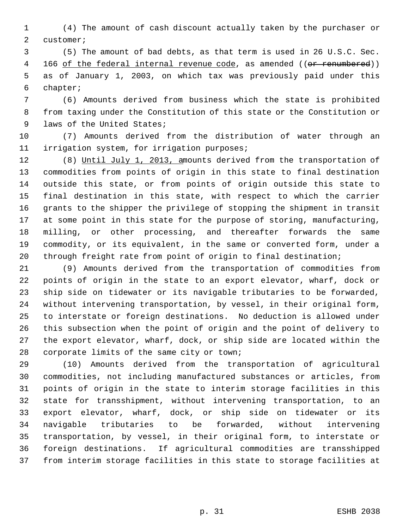(4) The amount of cash discount actually taken by the purchaser or customer;

 (5) The amount of bad debts, as that term is used in 26 U.S.C. Sec. 4 166 of the federal internal revenue code, as amended ((or renumbered)) as of January 1, 2003, on which tax was previously paid under this chapter;

 (6) Amounts derived from business which the state is prohibited from taxing under the Constitution of this state or the Constitution or laws of the United States;

 (7) Amounts derived from the distribution of water through an irrigation system, for irrigation purposes;

12 (8) Until July 1, 2013, amounts derived from the transportation of commodities from points of origin in this state to final destination outside this state, or from points of origin outside this state to final destination in this state, with respect to which the carrier grants to the shipper the privilege of stopping the shipment in transit at some point in this state for the purpose of storing, manufacturing, milling, or other processing, and thereafter forwards the same commodity, or its equivalent, in the same or converted form, under a through freight rate from point of origin to final destination;

 (9) Amounts derived from the transportation of commodities from points of origin in the state to an export elevator, wharf, dock or ship side on tidewater or its navigable tributaries to be forwarded, without intervening transportation, by vessel, in their original form, to interstate or foreign destinations. No deduction is allowed under this subsection when the point of origin and the point of delivery to the export elevator, wharf, dock, or ship side are located within the corporate limits of the same city or town;

 (10) Amounts derived from the transportation of agricultural commodities, not including manufactured substances or articles, from points of origin in the state to interim storage facilities in this state for transshipment, without intervening transportation, to an export elevator, wharf, dock, or ship side on tidewater or its navigable tributaries to be forwarded, without intervening transportation, by vessel, in their original form, to interstate or foreign destinations. If agricultural commodities are transshipped from interim storage facilities in this state to storage facilities at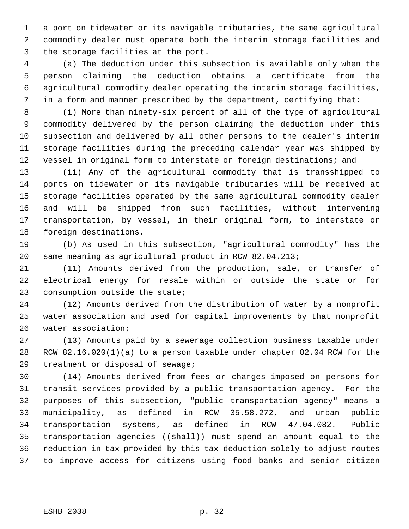a port on tidewater or its navigable tributaries, the same agricultural commodity dealer must operate both the interim storage facilities and the storage facilities at the port.

 (a) The deduction under this subsection is available only when the person claiming the deduction obtains a certificate from the agricultural commodity dealer operating the interim storage facilities, in a form and manner prescribed by the department, certifying that:

 (i) More than ninety-six percent of all of the type of agricultural commodity delivered by the person claiming the deduction under this subsection and delivered by all other persons to the dealer's interim storage facilities during the preceding calendar year was shipped by 12 vessel in original form to interstate or foreign destinations; and

 (ii) Any of the agricultural commodity that is transshipped to ports on tidewater or its navigable tributaries will be received at storage facilities operated by the same agricultural commodity dealer and will be shipped from such facilities, without intervening transportation, by vessel, in their original form, to interstate or foreign destinations.

 (b) As used in this subsection, "agricultural commodity" has the same meaning as agricultural product in RCW 82.04.213;

 (11) Amounts derived from the production, sale, or transfer of electrical energy for resale within or outside the state or for consumption outside the state;

 (12) Amounts derived from the distribution of water by a nonprofit water association and used for capital improvements by that nonprofit water association;

 (13) Amounts paid by a sewerage collection business taxable under RCW 82.16.020(1)(a) to a person taxable under chapter 82.04 RCW for the treatment or disposal of sewage;

 (14) Amounts derived from fees or charges imposed on persons for transit services provided by a public transportation agency. For the purposes of this subsection, "public transportation agency" means a municipality, as defined in RCW 35.58.272, and urban public transportation systems, as defined in RCW 47.04.082. Public 35 transportation agencies ((shall)) must spend an amount equal to the reduction in tax provided by this tax deduction solely to adjust routes to improve access for citizens using food banks and senior citizen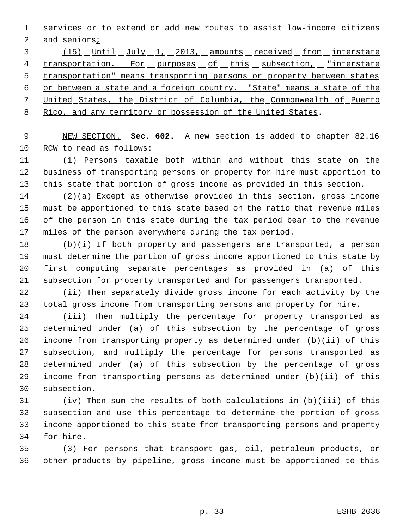services or to extend or add new routes to assist low-income citizens 2 and seniors<sub>i</sub>

3 (15) Until July 1, 2013, amounts received from interstate 4 transportation. For purposes of this subsection, "interstate transportation" means transporting persons or property between states or between a state and a foreign country. "State" means a state of the United States, the District of Columbia, the Commonwealth of Puerto Rico, and any territory or possession of the United States.

 NEW SECTION. **Sec. 602.** A new section is added to chapter 82.16 RCW to read as follows:

 (1) Persons taxable both within and without this state on the business of transporting persons or property for hire must apportion to this state that portion of gross income as provided in this section.

 (2)(a) Except as otherwise provided in this section, gross income must be apportioned to this state based on the ratio that revenue miles of the person in this state during the tax period bear to the revenue miles of the person everywhere during the tax period.

 (b)(i) If both property and passengers are transported, a person must determine the portion of gross income apportioned to this state by first computing separate percentages as provided in (a) of this subsection for property transported and for passengers transported.

 (ii) Then separately divide gross income for each activity by the total gross income from transporting persons and property for hire.

 (iii) Then multiply the percentage for property transported as determined under (a) of this subsection by the percentage of gross income from transporting property as determined under (b)(ii) of this subsection, and multiply the percentage for persons transported as determined under (a) of this subsection by the percentage of gross income from transporting persons as determined under (b)(ii) of this subsection.

 (iv) Then sum the results of both calculations in (b)(iii) of this subsection and use this percentage to determine the portion of gross income apportioned to this state from transporting persons and property for hire.

 (3) For persons that transport gas, oil, petroleum products, or other products by pipeline, gross income must be apportioned to this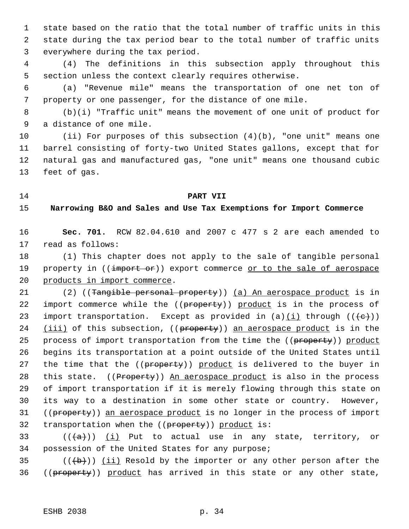state based on the ratio that the total number of traffic units in this state during the tax period bear to the total number of traffic units everywhere during the tax period.

 (4) The definitions in this subsection apply throughout this section unless the context clearly requires otherwise.

 (a) "Revenue mile" means the transportation of one net ton of property or one passenger, for the distance of one mile.

 (b)(i) "Traffic unit" means the movement of one unit of product for a distance of one mile.

 (ii) For purposes of this subsection (4)(b), "one unit" means one barrel consisting of forty-two United States gallons, except that for natural gas and manufactured gas, "one unit" means one thousand cubic feet of gas.

#### **PART VII**

**Narrowing B&O and Sales and Use Tax Exemptions for Import Commerce**

 **Sec. 701.** RCW 82.04.610 and 2007 c 477 s 2 are each amended to read as follows:

 (1) This chapter does not apply to the sale of tangible personal 19 property in ((import or)) export commerce or to the sale of aerospace products in import commerce.

21 (2) ((Tangible personal property)) (a) An aerospace product is in 22 import commerce while the ((property)) product is in the process of 23 import transportation. Except as provided in  $(a)$  (i) through  $((e+))$ 24 (iii) of this subsection, ((property)) an aerospace product is in the 25 process of import transportation from the time the ((property)) product begins its transportation at a point outside of the United States until 27 the time that the ((property)) product is delivered to the buyer in 28 this state. ((Property)) An aerospace product is also in the process of import transportation if it is merely flowing through this state on its way to a destination in some other state or country. However, 31 ((property)) an aerospace product is no longer in the process of import 32 transportation when the ((property)) product is:

33 ( $(\overline{a})$ ) (i) Put to actual use in any state, territory, or possession of the United States for any purpose;

35  $((\{b\}))(\text{iii})$  Resold by the importer or any other person after the 36 ((property)) product has arrived in this state or any other state,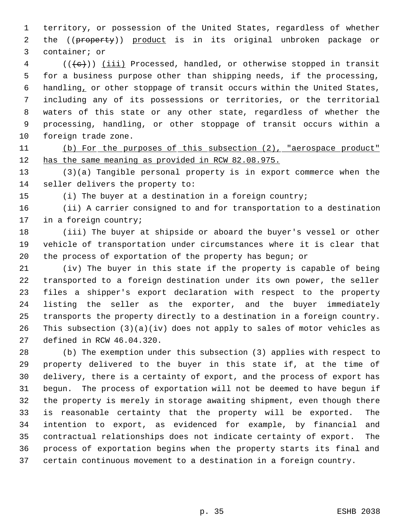territory, or possession of the United States, regardless of whether 2 the ((property)) product is in its original unbroken package or container; or

 (( $\langle e \rangle$ )) <u>(iii)</u> Processed, handled, or otherwise stopped in transit for a business purpose other than shipping needs, if the processing, handling, or other stoppage of transit occurs within the United States, including any of its possessions or territories, or the territorial waters of this state or any other state, regardless of whether the processing, handling, or other stoppage of transit occurs within a foreign trade zone.

 (b) For the purposes of this subsection (2), "aerospace product" 12 has the same meaning as provided in RCW 82.08.975.

 (3)(a) Tangible personal property is in export commerce when the seller delivers the property to:

(i) The buyer at a destination in a foreign country;

 (ii) A carrier consigned to and for transportation to a destination in a foreign country;

 (iii) The buyer at shipside or aboard the buyer's vessel or other vehicle of transportation under circumstances where it is clear that the process of exportation of the property has begun; or

 (iv) The buyer in this state if the property is capable of being transported to a foreign destination under its own power, the seller files a shipper's export declaration with respect to the property listing the seller as the exporter, and the buyer immediately transports the property directly to a destination in a foreign country. This subsection (3)(a)(iv) does not apply to sales of motor vehicles as defined in RCW 46.04.320.

 (b) The exemption under this subsection (3) applies with respect to property delivered to the buyer in this state if, at the time of delivery, there is a certainty of export, and the process of export has begun. The process of exportation will not be deemed to have begun if the property is merely in storage awaiting shipment, even though there is reasonable certainty that the property will be exported. The intention to export, as evidenced for example, by financial and contractual relationships does not indicate certainty of export. The process of exportation begins when the property starts its final and certain continuous movement to a destination in a foreign country.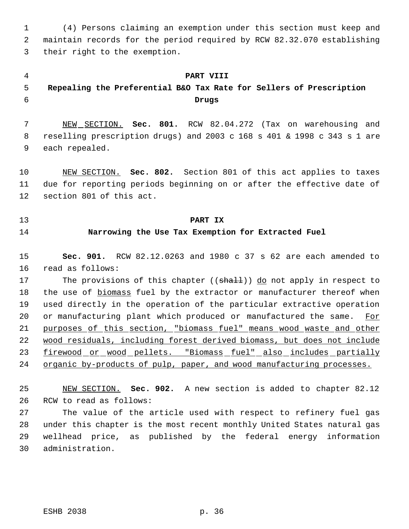(4) Persons claiming an exemption under this section must keep and maintain records for the period required by RCW 82.32.070 establishing their right to the exemption.

### **PART VIII**

# **Repealing the Preferential B&O Tax Rate for Sellers of Prescription Drugs**

 NEW SECTION. **Sec. 801.** RCW 82.04.272 (Tax on warehousing and reselling prescription drugs) and 2003 c 168 s 401 & 1998 c 343 s 1 are each repealed.

 NEW SECTION. **Sec. 802.** Section 801 of this act applies to taxes due for reporting periods beginning on or after the effective date of section 801 of this act.

- **PART IX**
- 

# **Narrowing the Use Tax Exemption for Extracted Fuel**

 **Sec. 901.** RCW 82.12.0263 and 1980 c 37 s 62 are each amended to read as follows:

17 The provisions of this chapter ((shall)) do not apply in respect to 18 the use of biomass fuel by the extractor or manufacturer thereof when used directly in the operation of the particular extractive operation 20 or manufacturing plant which produced or manufactured the same. For purposes of this section, "biomass fuel" means wood waste and other wood residuals, including forest derived biomass, but does not include 23 firewood or wood pellets. "Biomass fuel" also includes partially organic by-products of pulp, paper, and wood manufacturing processes.

 NEW SECTION. **Sec. 902.** A new section is added to chapter 82.12 RCW to read as follows:

 The value of the article used with respect to refinery fuel gas under this chapter is the most recent monthly United States natural gas wellhead price, as published by the federal energy information administration.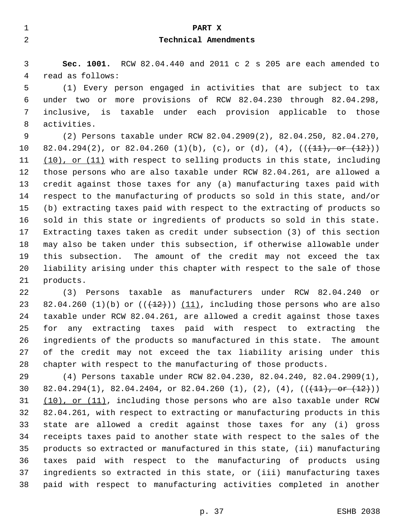| 1       | PART X                                                                       |
|---------|------------------------------------------------------------------------------|
| 2       | Technical Amendments                                                         |
|         |                                                                              |
| 3       | Sec. 1001. RCW 82.04.440 and 2011 c 2 s 205 are each amended to              |
| 4       | read as follows:                                                             |
| 5       | (1) Every person engaged in activities that are subject to tax               |
| 6       | more provisions of RCW 82.04.230 through 82.04.298,<br>under two or          |
| 7       | is taxable under each provision applicable to those<br>inclusive,            |
| 8       | activities.                                                                  |
| 9       | (2) Persons taxable under RCW 82.04.2909(2), 82.04.250, 82.04.270,           |
| $10 \,$ | 82.04.294(2), or 82.04.260 (1)(b), (c), or (d), (4), $((+11),$ or $(12))$ )  |
| 11      | $(10)$ , or $(11)$ with respect to selling products in this state, including |
| 12      | those persons who are also taxable under RCW 82.04.261, are allowed a        |
| 13      | credit against those taxes for any (a) manufacturing taxes paid with         |
| 14      | respect to the manufacturing of products so sold in this state, and/or       |
| 15      | (b) extracting taxes paid with respect to the extracting of products so      |
| 16      | sold in this state or ingredients of products so sold in this state.         |
| 17      | Extracting taxes taken as credit under subsection (3) of this section        |
| 18      | may also be taken under this subsection, if otherwise allowable under        |
| 19      | this subsection. The amount of the credit may not exceed the tax             |
| 20      | liability arising under this chapter with respect to the sale of those       |
| 21      | products.                                                                    |
| 22      | (3) Persons taxable as manufacturers under RCW 82.04.240 or                  |
| 23      | 82.04.260 (1)(b) or $((+12)^{n})$ (11), including those persons who are also |
| 24      | taxable under RCW 82.04.261, are allowed a credit against those taxes        |
| 25      | any extracting taxes paid with respect to extracting the<br>for              |
| 26      | ingredients of the products so manufactured in this state. The amount        |
| 27      | of the credit may not exceed the tax liability arising under this            |
| 28      | chapter with respect to the manufacturing of those products.                 |
| 29      | (4) Persons taxable under RCW 82.04.230, 82.04.240, 82.04.2909(1),           |

30 82.04.294(1), 82.04.2404, or 82.04.260 (1), (2), (4),  $((+11),$  or  $(12))$ 31 (10), or (11), including those persons who are also taxable under RCW 82.04.261, with respect to extracting or manufacturing products in this state are allowed a credit against those taxes for any (i) gross receipts taxes paid to another state with respect to the sales of the products so extracted or manufactured in this state, (ii) manufacturing taxes paid with respect to the manufacturing of products using ingredients so extracted in this state, or (iii) manufacturing taxes paid with respect to manufacturing activities completed in another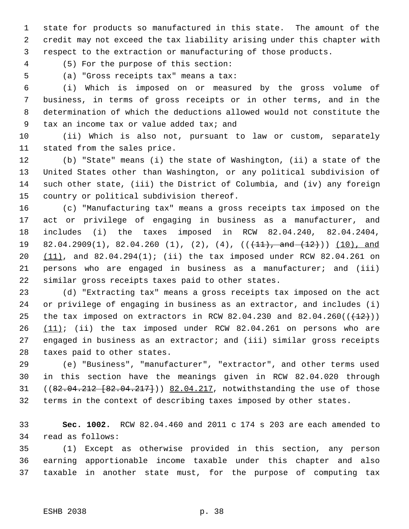state for products so manufactured in this state. The amount of the credit may not exceed the tax liability arising under this chapter with respect to the extraction or manufacturing of those products.

(5) For the purpose of this section:

(a) "Gross receipts tax" means a tax:

 (i) Which is imposed on or measured by the gross volume of business, in terms of gross receipts or in other terms, and in the determination of which the deductions allowed would not constitute the tax an income tax or value added tax; and

 (ii) Which is also not, pursuant to law or custom, separately stated from the sales price.

 (b) "State" means (i) the state of Washington, (ii) a state of the United States other than Washington, or any political subdivision of such other state, (iii) the District of Columbia, and (iv) any foreign country or political subdivision thereof.

 (c) "Manufacturing tax" means a gross receipts tax imposed on the act or privilege of engaging in business as a manufacturer, and includes (i) the taxes imposed in RCW 82.04.240, 82.04.2404, 19 82.04.2909(1), 82.04.260 (1), (2), (4),  $((+11)$ , and  $(12)$ )) (10), and (11), and 82.04.294(1); (ii) the tax imposed under RCW 82.04.261 on persons who are engaged in business as a manufacturer; and (iii) similar gross receipts taxes paid to other states.

 (d) "Extracting tax" means a gross receipts tax imposed on the act or privilege of engaging in business as an extractor, and includes (i) 25 the tax imposed on extractors in RCW 82.04.230 and 82.04.260( $(\frac{12}{})$ )  $(11)$ ; (ii) the tax imposed under RCW 82.04.261 on persons who are engaged in business as an extractor; and (iii) similar gross receipts taxes paid to other states.

 (e) "Business", "manufacturer", "extractor", and other terms used in this section have the meanings given in RCW 82.04.020 through 31 ((82.04.212 [82.04.217])) 82.04.217, notwithstanding the use of those terms in the context of describing taxes imposed by other states.

 **Sec. 1002.** RCW 82.04.460 and 2011 c 174 s 203 are each amended to read as follows:

 (1) Except as otherwise provided in this section, any person earning apportionable income taxable under this chapter and also taxable in another state must, for the purpose of computing tax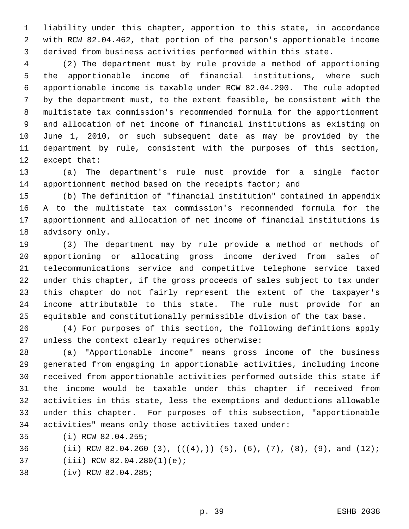liability under this chapter, apportion to this state, in accordance with RCW 82.04.462, that portion of the person's apportionable income derived from business activities performed within this state.

 (2) The department must by rule provide a method of apportioning the apportionable income of financial institutions, where such apportionable income is taxable under RCW 82.04.290. The rule adopted by the department must, to the extent feasible, be consistent with the multistate tax commission's recommended formula for the apportionment and allocation of net income of financial institutions as existing on June 1, 2010, or such subsequent date as may be provided by the department by rule, consistent with the purposes of this section, except that:

 (a) The department's rule must provide for a single factor 14 apportionment method based on the receipts factor; and

 (b) The definition of "financial institution" contained in appendix A to the multistate tax commission's recommended formula for the apportionment and allocation of net income of financial institutions is advisory only.

 (3) The department may by rule provide a method or methods of apportioning or allocating gross income derived from sales of telecommunications service and competitive telephone service taxed under this chapter, if the gross proceeds of sales subject to tax under this chapter do not fairly represent the extent of the taxpayer's income attributable to this state. The rule must provide for an equitable and constitutionally permissible division of the tax base.

 (4) For purposes of this section, the following definitions apply unless the context clearly requires otherwise:

 (a) "Apportionable income" means gross income of the business generated from engaging in apportionable activities, including income received from apportionable activities performed outside this state if the income would be taxable under this chapter if received from activities in this state, less the exemptions and deductions allowable under this chapter. For purposes of this subsection, "apportionable activities" means only those activities taxed under:

- (i) RCW 82.04.255;
- 36 (ii) RCW 82.04.260 (3),  $((+4)$ ,  $(5)$ , (6), (7), (8), (9), and (12);
- (iii) RCW 82.04.280(1)(e);
- (iv) RCW 82.04.285;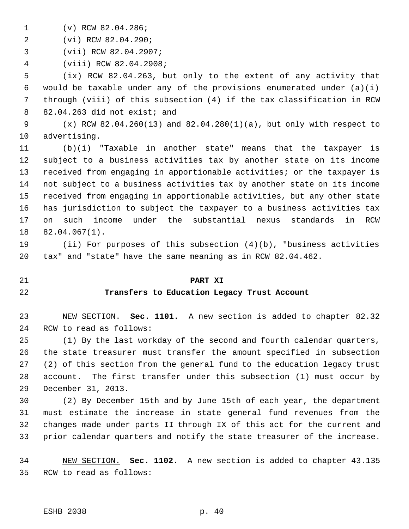(v) RCW 82.04.286;

(vi) RCW 82.04.290;

(vii) RCW 82.04.2907;

(viii) RCW 82.04.2908;

 (ix) RCW 82.04.263, but only to the extent of any activity that 6 would be taxable under any of the provisions enumerated under  $(a)(i)$  through (viii) of this subsection (4) if the tax classification in RCW 82.04.263 did not exist; and

 (x) RCW 82.04.260(13) and 82.04.280(1)(a), but only with respect to advertising.

 (b)(i) "Taxable in another state" means that the taxpayer is subject to a business activities tax by another state on its income received from engaging in apportionable activities; or the taxpayer is not subject to a business activities tax by another state on its income received from engaging in apportionable activities, but any other state has jurisdiction to subject the taxpayer to a business activities tax on such income under the substantial nexus standards in RCW 82.04.067(1).

 (ii) For purposes of this subsection (4)(b), "business activities tax" and "state" have the same meaning as in RCW 82.04.462.

### **PART XI**

### **Transfers to Education Legacy Trust Account**

 NEW SECTION. **Sec. 1101.** A new section is added to chapter 82.32 RCW to read as follows:

 (1) By the last workday of the second and fourth calendar quarters, the state treasurer must transfer the amount specified in subsection (2) of this section from the general fund to the education legacy trust account. The first transfer under this subsection (1) must occur by December 31, 2013.

 (2) By December 15th and by June 15th of each year, the department must estimate the increase in state general fund revenues from the changes made under parts II through IX of this act for the current and prior calendar quarters and notify the state treasurer of the increase.

 NEW SECTION. **Sec. 1102.** A new section is added to chapter 43.135 RCW to read as follows: